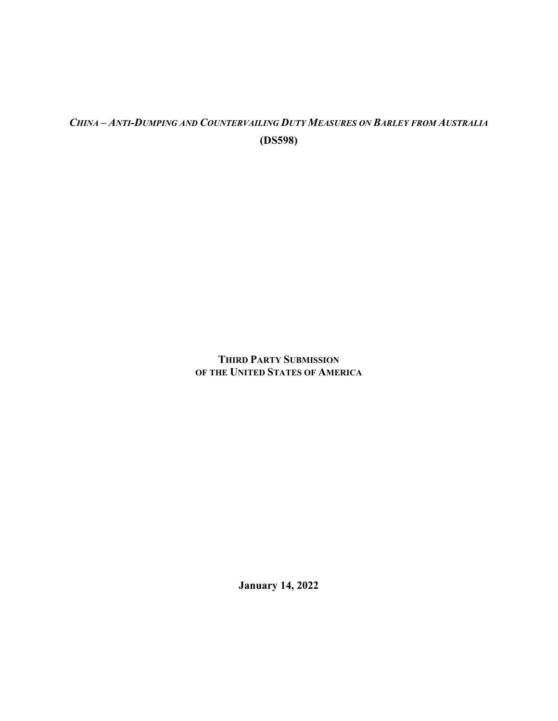# *CHINA – ANTI-DUMPING AND COUNTERVAILING DUTY MEASURES ON BARLEY FROM AUSTRALIA* **(DS598)**

## **THIRD PARTY SUBMISSION OF THE UNITED STATES OF AMERICA**

**January 14, 2022**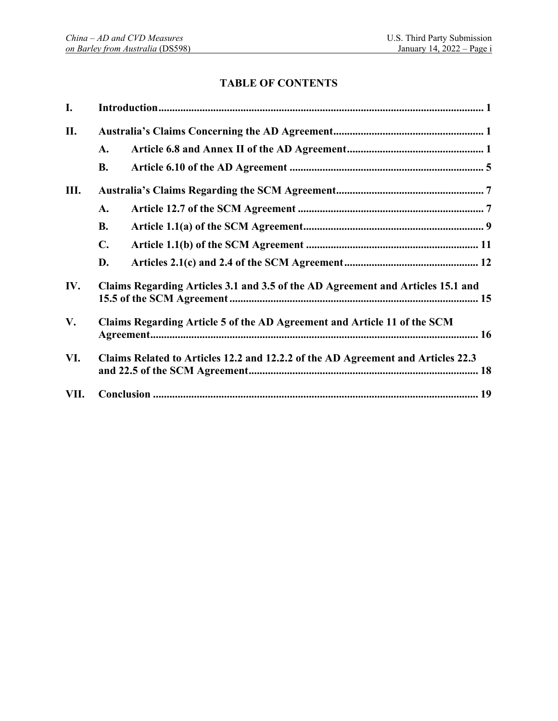## **TABLE OF CONTENTS**

| I.   |                                                                                  |  |  |  |
|------|----------------------------------------------------------------------------------|--|--|--|
| П.   |                                                                                  |  |  |  |
|      | A.                                                                               |  |  |  |
|      | <b>B.</b>                                                                        |  |  |  |
| Ш.   |                                                                                  |  |  |  |
|      | A.                                                                               |  |  |  |
|      | <b>B.</b>                                                                        |  |  |  |
|      | $\mathbf{C}$ .                                                                   |  |  |  |
|      | D.                                                                               |  |  |  |
| IV.  | Claims Regarding Articles 3.1 and 3.5 of the AD Agreement and Articles 15.1 and  |  |  |  |
| V.   | Claims Regarding Article 5 of the AD Agreement and Article 11 of the SCM         |  |  |  |
| VI.  | Claims Related to Articles 12.2 and 12.2.2 of the AD Agreement and Articles 22.3 |  |  |  |
| VII. |                                                                                  |  |  |  |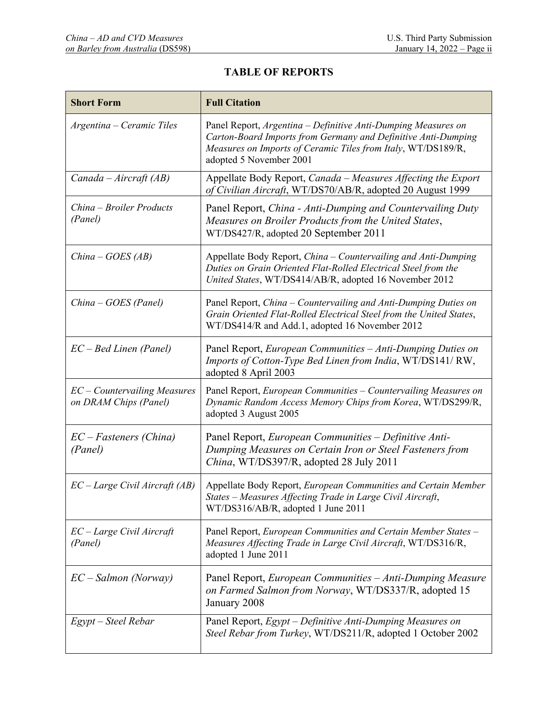## **TABLE OF REPORTS**

| <b>Short Form</b>                                       | <b>Full Citation</b>                                                                                                                                                                                                      |
|---------------------------------------------------------|---------------------------------------------------------------------------------------------------------------------------------------------------------------------------------------------------------------------------|
| Argentina – Ceramic Tiles                               | Panel Report, Argentina - Definitive Anti-Dumping Measures on<br>Carton-Board Imports from Germany and Definitive Anti-Dumping<br>Measures on Imports of Ceramic Tiles from Italy, WT/DS189/R,<br>adopted 5 November 2001 |
| Canada - Aircraft (AB)                                  | Appellate Body Report, Canada - Measures Affecting the Export<br>of Civilian Aircraft, WT/DS70/AB/R, adopted 20 August 1999                                                                                               |
| China – Broiler Products<br>(Panel)                     | Panel Report, China - Anti-Dumping and Countervailing Duty<br>Measures on Broiler Products from the United States,<br>WT/DS427/R, adopted 20 September 2011                                                               |
| $China - GOES(AB)$                                      | Appellate Body Report, China - Countervailing and Anti-Dumping<br>Duties on Grain Oriented Flat-Rolled Electrical Steel from the<br>United States, WT/DS414/AB/R, adopted 16 November 2012                                |
| China - GOES (Panel)                                    | Panel Report, China - Countervailing and Anti-Dumping Duties on<br>Grain Oriented Flat-Rolled Electrical Steel from the United States,<br>WT/DS414/R and Add.1, adopted 16 November 2012                                  |
| $EC - Bed$ Linen (Panel)                                | Panel Report, European Communities - Anti-Dumping Duties on<br>Imports of Cotton-Type Bed Linen from India, WT/DS141/RW,<br>adopted 8 April 2003                                                                          |
| $EC$ – Countervailing Measures<br>on DRAM Chips (Panel) | Panel Report, European Communities - Countervailing Measures on<br>Dynamic Random Access Memory Chips from Korea, WT/DS299/R,<br>adopted 3 August 2005                                                                    |
| $EC-Fasteners$ (China)<br>(Panel)                       | Panel Report, European Communities - Definitive Anti-<br>Dumping Measures on Certain Iron or Steel Fasteners from<br>China, WT/DS397/R, adopted 28 July 2011                                                              |
| $EC-Large$ Civil Aircraft (AB)                          | Appellate Body Report, European Communities and Certain Member<br>States - Measures Affecting Trade in Large Civil Aircraft,<br>WT/DS316/AB/R, adopted 1 June 2011                                                        |
| EC - Large Civil Aircraft<br>(Panel)                    | Panel Report, European Communities and Certain Member States -<br>Measures Affecting Trade in Large Civil Aircraft, WT/DS316/R,<br>adopted 1 June 2011                                                                    |
| EC - Salmon (Norway)                                    | Panel Report, European Communities – Anti-Dumping Measure<br>on Farmed Salmon from Norway, WT/DS337/R, adopted 15<br>January 2008                                                                                         |
| Egypt – Steel Rebar                                     | Panel Report, Egypt – Definitive Anti-Dumping Measures on<br>Steel Rebar from Turkey, WT/DS211/R, adopted 1 October 2002                                                                                                  |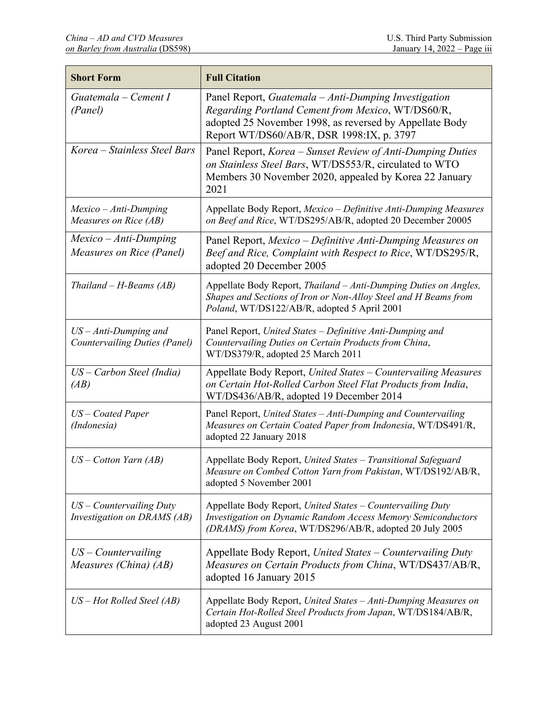| <b>Short Form</b>                                               | <b>Full Citation</b>                                                                                                                                                                                              |
|-----------------------------------------------------------------|-------------------------------------------------------------------------------------------------------------------------------------------------------------------------------------------------------------------|
| Guatemala – Cement I<br>(Panel)                                 | Panel Report, Guatemala - Anti-Dumping Investigation<br>Regarding Portland Cement from Mexico, WT/DS60/R,<br>adopted 25 November 1998, as reversed by Appellate Body<br>Report WT/DS60/AB/R, DSR 1998:IX, p. 3797 |
| Korea – Stainless Steel Bars                                    | Panel Report, Korea - Sunset Review of Anti-Dumping Duties<br>on Stainless Steel Bars, WT/DS553/R, circulated to WTO<br>Members 30 November 2020, appealed by Korea 22 January<br>2021                            |
| Mexico - Anti-Dumping<br>Measures on Rice (AB)                  | Appellate Body Report, Mexico - Definitive Anti-Dumping Measures<br>on Beef and Rice, WT/DS295/AB/R, adopted 20 December 20005                                                                                    |
| $Mexico - Anti-Dumping$<br>Measures on Rice (Panel)             | Panel Report, Mexico – Definitive Anti-Dumping Measures on<br>Beef and Rice, Complaint with Respect to Rice, WT/DS295/R,<br>adopted 20 December 2005                                                              |
| $Thailand - H-Beams (AB)$                                       | Appellate Body Report, Thailand – Anti-Dumping Duties on Angles,<br>Shapes and Sections of Iron or Non-Alloy Steel and H Beams from<br>Poland, WT/DS122/AB/R, adopted 5 April 2001                                |
| $US - Anti-Dumping$ and<br><b>Countervailing Duties (Panel)</b> | Panel Report, United States - Definitive Anti-Dumping and<br>Countervailing Duties on Certain Products from China,<br>WT/DS379/R, adopted 25 March 2011                                                           |
| US – Carbon Steel (India)<br>(AB)                               | Appellate Body Report, United States - Countervailing Measures<br>on Certain Hot-Rolled Carbon Steel Flat Products from India,<br>WT/DS436/AB/R, adopted 19 December 2014                                         |
| US – Coated Paper<br>(Indonesia)                                | Panel Report, United States - Anti-Dumping and Countervailing<br>Measures on Certain Coated Paper from Indonesia, WT/DS491/R,<br>adopted 22 January 2018                                                          |
| $US$ – Cotton Yarn (AB)                                         | Appellate Body Report, United States - Transitional Safeguard<br>Measure on Combed Cotton Yarn from Pakistan, WT/DS192/AB/R,<br>adopted 5 November 2001                                                           |
| $US$ – Countervailing Duty<br>Investigation on DRAMS (AB)       | Appellate Body Report, United States - Countervailing Duty<br><b>Investigation on Dynamic Random Access Memory Semiconductors</b><br>(DRAMS) from Korea, WT/DS296/AB/R, adopted 20 July 2005                      |
| $US$ – Countervailing<br>Measures (China) (AB)                  | Appellate Body Report, United States - Countervailing Duty<br>Measures on Certain Products from China, WT/DS437/AB/R,<br>adopted 16 January 2015                                                                  |
| $US - Hot$ Rolled Steel (AB)                                    | Appellate Body Report, United States - Anti-Dumping Measures on<br>Certain Hot-Rolled Steel Products from Japan, WT/DS184/AB/R,<br>adopted 23 August 2001                                                         |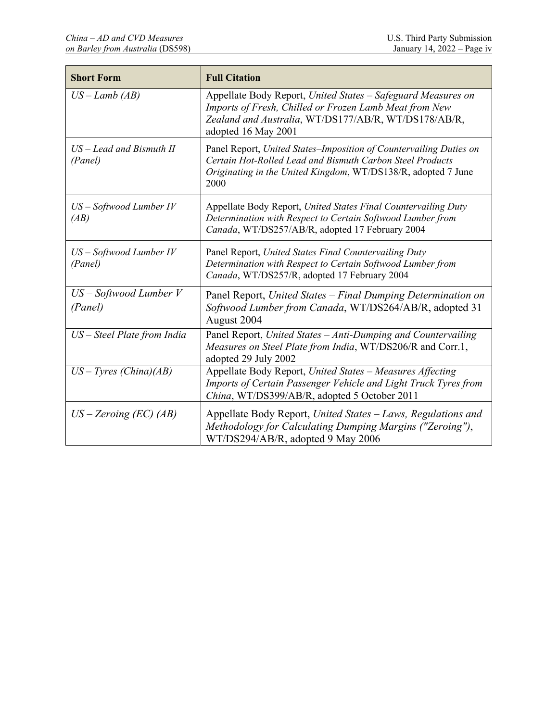| <b>Short Form</b>                     | <b>Full Citation</b>                                                                                                                                                                                     |
|---------------------------------------|----------------------------------------------------------------------------------------------------------------------------------------------------------------------------------------------------------|
| $US-Lamb$ (AB)                        | Appellate Body Report, United States - Safeguard Measures on<br>Imports of Fresh, Chilled or Frozen Lamb Meat from New<br>Zealand and Australia, WT/DS177/AB/R, WT/DS178/AB/R,<br>adopted 16 May 2001    |
| $US - Lead$ and Bismuth II<br>(Panel) | Panel Report, United States-Imposition of Countervailing Duties on<br>Certain Hot-Rolled Lead and Bismuth Carbon Steel Products<br>Originating in the United Kingdom, WT/DS138/R, adopted 7 June<br>2000 |
| $US - Softwood$ Lumber IV<br>(AB)     | Appellate Body Report, United States Final Countervailing Duty<br>Determination with Respect to Certain Softwood Lumber from<br>Canada, WT/DS257/AB/R, adopted 17 February 2004                          |
| $US - Softwood$ Lumber IV<br>(Panel)  | Panel Report, United States Final Countervailing Duty<br>Determination with Respect to Certain Softwood Lumber from<br>Canada, WT/DS257/R, adopted 17 February 2004                                      |
| $US - Softwood$ Lumber V<br>(Panel)   | Panel Report, United States - Final Dumping Determination on<br>Softwood Lumber from Canada, WT/DS264/AB/R, adopted 31<br>August 2004                                                                    |
| US - Steel Plate from India           | Panel Report, United States - Anti-Dumping and Countervailing<br>Measures on Steel Plate from India, WT/DS206/R and Corr.1,<br>adopted 29 July 2002                                                      |
| $US-Tyres$ (China)(AB)                | Appellate Body Report, United States - Measures Affecting<br>Imports of Certain Passenger Vehicle and Light Truck Tyres from<br>China, WT/DS399/AB/R, adopted 5 October 2011                             |
| $US - Zeroing (EC) (AB)$              | Appellate Body Report, United States – Laws, Regulations and<br>Methodology for Calculating Dumping Margins ("Zeroing"),<br>WT/DS294/AB/R, adopted 9 May 2006                                            |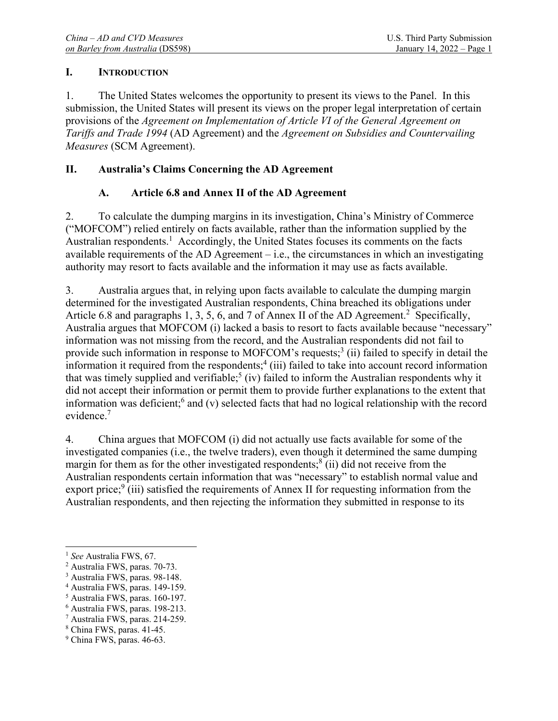### **I. INTRODUCTION**

1. The United States welcomes the opportunity to present its views to the Panel. In this submission, the United States will present its views on the proper legal interpretation of certain provisions of the *Agreement on Implementation of Article VI of the General Agreement on Tariffs and Trade 1994* (AD Agreement) and the *Agreement on Subsidies and Countervailing Measures* (SCM Agreement).

## **II. Australia's Claims Concerning the AD Agreement**

## **A. Article 6.8 and Annex II of the AD Agreement**

2. To calculate the dumping margins in its investigation, China's Ministry of Commerce ("MOFCOM") relied entirely on facts available, rather than the information supplied by the Australian respondents.<sup>1</sup> Accordingly, the United States focuses its comments on the facts available requirements of the AD Agreement  $-$  i.e., the circumstances in which an investigating authority may resort to facts available and the information it may use as facts available.

3. Australia argues that, in relying upon facts available to calculate the dumping margin determined for the investigated Australian respondents, China breached its obligations under Article 6.8 and paragraphs 1, 3, 5, 6, and 7 of Annex II of the AD Agreement.<sup>2</sup> Specifically, Australia argues that MOFCOM (i) lacked a basis to resort to facts available because "necessary" information was not missing from the record, and the Australian respondents did not fail to provide such information in response to MOFCOM's requests;<sup>3</sup> (ii) failed to specify in detail the information it required from the respondents;<sup>4</sup> (iii) failed to take into account record information that was timely supplied and verifiable;<sup>5</sup> (iv) failed to inform the Australian respondents why it did not accept their information or permit them to provide further explanations to the extent that information was deficient;<sup>6</sup> and (v) selected facts that had no logical relationship with the record evidence.7

4. China argues that MOFCOM (i) did not actually use facts available for some of the investigated companies (i.e., the twelve traders), even though it determined the same dumping margin for them as for the other investigated respondents;<sup>8</sup> (ii) did not receive from the Australian respondents certain information that was "necessary" to establish normal value and export price;<sup>9</sup> (iii) satisfied the requirements of Annex II for requesting information from the Australian respondents, and then rejecting the information they submitted in response to its

<sup>&</sup>lt;sup>1</sup> See Australia FWS, 67.

<sup>&</sup>lt;sup>2</sup> Australia FWS, paras. 70-73.

<sup>3</sup> Australia FWS, paras. 98-148.

<sup>4</sup> Australia FWS, paras. 149-159.

<sup>5</sup> Australia FWS, paras. 160-197.

<sup>6</sup> Australia FWS, paras. 198-213.

<sup>7</sup> Australia FWS, paras. 214-259.

<sup>8</sup> China FWS, paras. 41-45.

<sup>&</sup>lt;sup>9</sup> China FWS, paras. 46-63.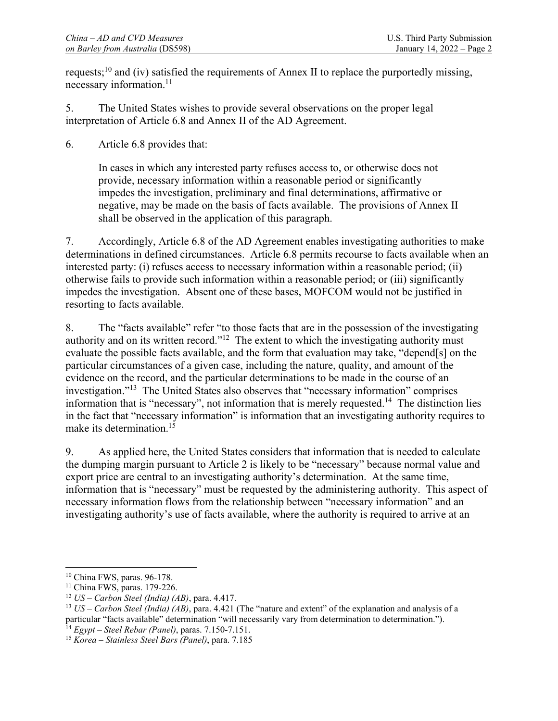requests;<sup>10</sup> and (iv) satisfied the requirements of Annex II to replace the purportedly missing, necessary information.<sup>11</sup>

5. The United States wishes to provide several observations on the proper legal interpretation of Article 6.8 and Annex II of the AD Agreement.

6. Article 6.8 provides that:

In cases in which any interested party refuses access to, or otherwise does not provide, necessary information within a reasonable period or significantly impedes the investigation, preliminary and final determinations, affirmative or negative, may be made on the basis of facts available. The provisions of Annex II shall be observed in the application of this paragraph.

7. Accordingly, Article 6.8 of the AD Agreement enables investigating authorities to make determinations in defined circumstances. Article 6.8 permits recourse to facts available when an interested party: (i) refuses access to necessary information within a reasonable period; (ii) otherwise fails to provide such information within a reasonable period; or (iii) significantly impedes the investigation. Absent one of these bases, MOFCOM would not be justified in resorting to facts available.

8. The "facts available" refer "to those facts that are in the possession of the investigating authority and on its written record."<sup>12</sup> The extent to which the investigating authority must evaluate the possible facts available, and the form that evaluation may take, "depend[s] on the particular circumstances of a given case, including the nature, quality, and amount of the evidence on the record, and the particular determinations to be made in the course of an investigation."13 The United States also observes that "necessary information" comprises information that is "necessary", not information that is merely requested.<sup>14</sup> The distinction lies in the fact that "necessary information" is information that an investigating authority requires to make its determination.<sup>15</sup>

9. As applied here, the United States considers that information that is needed to calculate the dumping margin pursuant to Article 2 is likely to be "necessary" because normal value and export price are central to an investigating authority's determination. At the same time, information that is "necessary" must be requested by the administering authority. This aspect of necessary information flows from the relationship between "necessary information" and an investigating authority's use of facts available, where the authority is required to arrive at an

 $\overline{a}$ 10 China FWS, paras. 96-178.

<sup>&</sup>lt;sup>11</sup> China FWS, paras. 179-226.<br><sup>12</sup> *US – Carbon Steel (India) (AB)*, para. 4.417.

<sup>&</sup>lt;sup>13</sup>  $US - Carbon Steel (India) (AB)$ , para. 4.421 (The "nature and extent" of the explanation and analysis of a particular "facts available" determination "will necessarily vary from determination to determination."). 14 *Egypt – Steel Rebar (Panel)*, paras. 7.150-7.151. 15 *Korea – Stainless Steel Bars (Panel)*, para. 7.185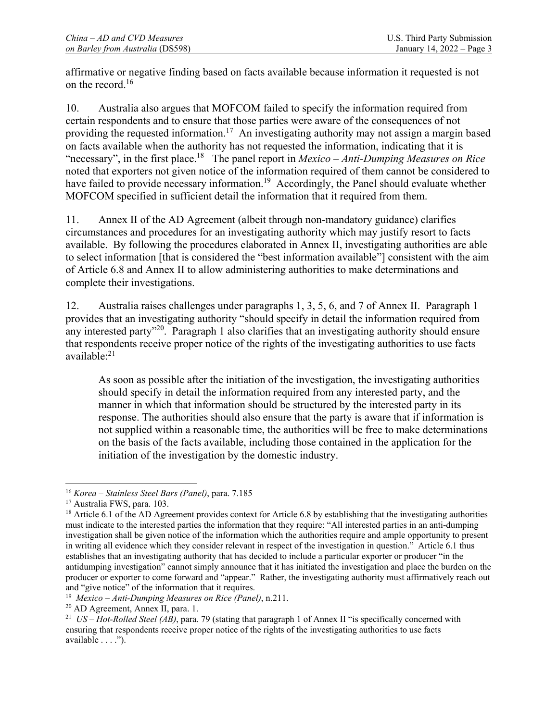affirmative or negative finding based on facts available because information it requested is not on the record.16

10. Australia also argues that MOFCOM failed to specify the information required from certain respondents and to ensure that those parties were aware of the consequences of not providing the requested information.<sup>17</sup> An investigating authority may not assign a margin based on facts available when the authority has not requested the information, indicating that it is "necessary", in the first place.18 The panel report in *Mexico – Anti-Dumping Measures on Rice* noted that exporters not given notice of the information required of them cannot be considered to have failed to provide necessary information.<sup>19</sup> Accordingly, the Panel should evaluate whether MOFCOM specified in sufficient detail the information that it required from them.

11. Annex II of the AD Agreement (albeit through non-mandatory guidance) clarifies circumstances and procedures for an investigating authority which may justify resort to facts available. By following the procedures elaborated in Annex II, investigating authorities are able to select information [that is considered the "best information available"] consistent with the aim of Article 6.8 and Annex II to allow administering authorities to make determinations and complete their investigations.

12. Australia raises challenges under paragraphs 1, 3, 5, 6, and 7 of Annex II. Paragraph 1 provides that an investigating authority "should specify in detail the information required from any interested party<sup>"20</sup>. Paragraph 1 also clarifies that an investigating authority should ensure that respondents receive proper notice of the rights of the investigating authorities to use facts available:21

As soon as possible after the initiation of the investigation, the investigating authorities should specify in detail the information required from any interested party, and the manner in which that information should be structured by the interested party in its response. The authorities should also ensure that the party is aware that if information is not supplied within a reasonable time, the authorities will be free to make determinations on the basis of the facts available, including those contained in the application for the initiation of the investigation by the domestic industry.

<sup>&</sup>lt;sup>16</sup> *Korea – Stainless Steel Bars (Panel)*, para. 7.185<br><sup>17</sup> Australia FWS, para. 103.

 $18$  Article 6.1 of the AD Agreement provides context for Article 6.8 by establishing that the investigating authorities must indicate to the interested parties the information that they require: "All interested parties in an anti-dumping investigation shall be given notice of the information which the authorities require and ample opportunity to present in writing all evidence which they consider relevant in respect of the investigation in question." Article 6.1 thus establishes that an investigating authority that has decided to include a particular exporter or producer "in the antidumping investigation" cannot simply announce that it has initiated the investigation and place the burden on the producer or exporter to come forward and "appear." Rather, the investigating authority must affirmatively reach out and "give notice" of the information that it requires.

<sup>&</sup>lt;sup>19</sup> Mexico – Anti-Dumping Measures on Rice (Panel), n.211.<br><sup>20</sup> AD Agreement, Annex II, para. 1.

<sup>21</sup> *US – Hot-Rolled Steel (AB)*, para. 79 (stating that paragraph 1 of Annex II "is specifically concerned with ensuring that respondents receive proper notice of the rights of the investigating authorities to use facts available . . . .").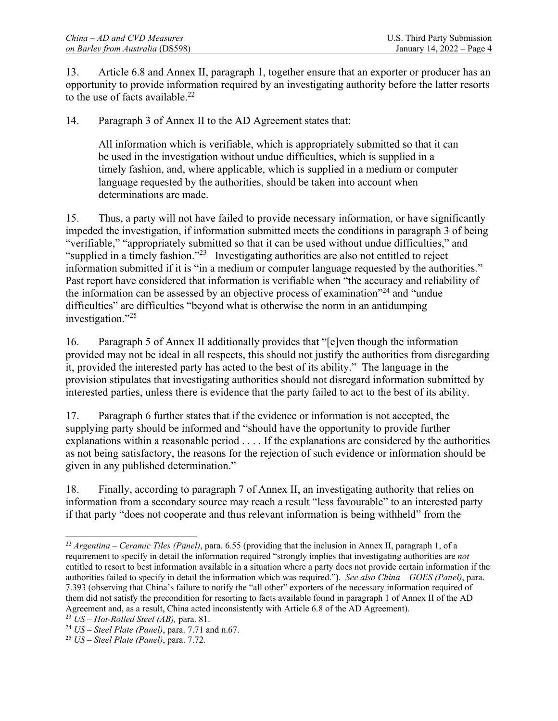13. Article 6.8 and Annex II, paragraph 1, together ensure that an exporter or producer has an opportunity to provide information required by an investigating authority before the latter resorts to the use of facts available. $^{22}$ 

14. Paragraph 3 of Annex II to the AD Agreement states that:

All information which is verifiable, which is appropriately submitted so that it can be used in the investigation without undue difficulties, which is supplied in a timely fashion, and, where applicable, which is supplied in a medium or computer language requested by the authorities, should be taken into account when determinations are made.

15. Thus, a party will not have failed to provide necessary information, or have significantly impeded the investigation, if information submitted meets the conditions in paragraph 3 of being "verifiable," "appropriately submitted so that it can be used without undue difficulties," and "supplied in a timely fashion."23 Investigating authorities are also not entitled to reject information submitted if it is "in a medium or computer language requested by the authorities." Past report have considered that information is verifiable when "the accuracy and reliability of the information can be assessed by an objective process of examination $^{24}$  and "undue" difficulties" are difficulties "beyond what is otherwise the norm in an antidumping investigation."25

16. Paragraph 5 of Annex II additionally provides that "[e]ven though the information provided may not be ideal in all respects, this should not justify the authorities from disregarding it, provided the interested party has acted to the best of its ability." The language in the provision stipulates that investigating authorities should not disregard information submitted by interested parties, unless there is evidence that the party failed to act to the best of its ability.

17. Paragraph 6 further states that if the evidence or information is not accepted, the supplying party should be informed and "should have the opportunity to provide further explanations within a reasonable period . . . . If the explanations are considered by the authorities as not being satisfactory, the reasons for the rejection of such evidence or information should be given in any published determination."

18. Finally, according to paragraph 7 of Annex II, an investigating authority that relies on information from a secondary source may reach a result "less favourable" to an interested party if that party "does not cooperate and thus relevant information is being withheld" from the

 $\overline{a}$ <sup>22</sup> *Argentina – Ceramic Tiles (Panel)*, para. 6.55 (providing that the inclusion in Annex II, paragraph 1, of a requirement to specify in detail the information required "strongly implies that investigating authorities are *not* entitled to resort to best information available in a situation where a party does not provide certain information if the authorities failed to specify in detail the information which was required."). *See also China – GOES (Panel)*, para. 7.393 (observing that China's failure to notify the "all other" exporters of the necessary information required of them did not satisfy the precondition for resorting to facts available found in paragraph 1 of Annex II of the AD Agreement and, as a result, China acted inconsistently with Article 6.8 of the AD Agreement).<br><sup>23</sup> *US – Hot-Rolled Steel (AB)*, para. 81.<br><sup>24</sup> *US – Steel Plate (Panel)*, para. 7.71 and n.67.<br><sup>25</sup> *US – Steel Plate (Pane*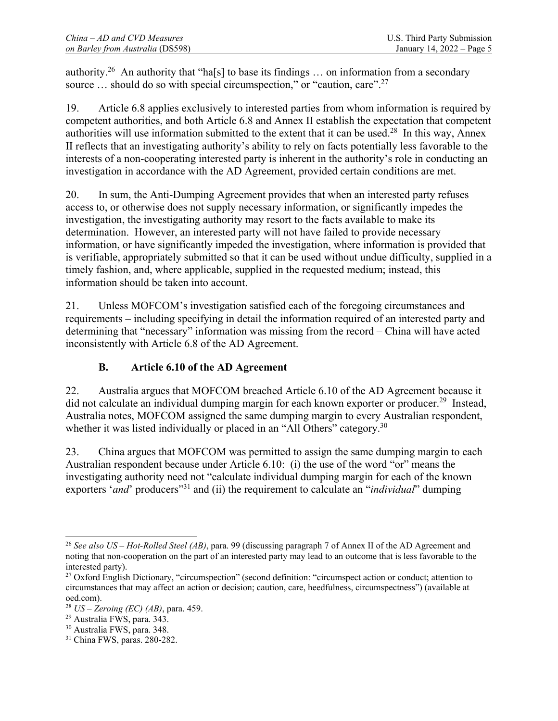authority.<sup>26</sup> An authority that "ha[s] to base its findings ... on information from a secondary source ... should do so with special circumspection," or "caution, care".<sup>27</sup>

19. Article 6.8 applies exclusively to interested parties from whom information is required by competent authorities, and both Article 6.8 and Annex II establish the expectation that competent authorities will use information submitted to the extent that it can be used.<sup>28</sup> In this way, Annex II reflects that an investigating authority's ability to rely on facts potentially less favorable to the interests of a non-cooperating interested party is inherent in the authority's role in conducting an investigation in accordance with the AD Agreement, provided certain conditions are met.

20. In sum, the Anti-Dumping Agreement provides that when an interested party refuses access to, or otherwise does not supply necessary information, or significantly impedes the investigation, the investigating authority may resort to the facts available to make its determination. However, an interested party will not have failed to provide necessary information, or have significantly impeded the investigation, where information is provided that is verifiable, appropriately submitted so that it can be used without undue difficulty, supplied in a timely fashion, and, where applicable, supplied in the requested medium; instead, this information should be taken into account.

21. Unless MOFCOM's investigation satisfied each of the foregoing circumstances and requirements – including specifying in detail the information required of an interested party and determining that "necessary" information was missing from the record – China will have acted inconsistently with Article 6.8 of the AD Agreement.

## **B. Article 6.10 of the AD Agreement**

22. Australia argues that MOFCOM breached Article 6.10 of the AD Agreement because it did not calculate an individual dumping margin for each known exporter or producer.<sup>29</sup> Instead, Australia notes, MOFCOM assigned the same dumping margin to every Australian respondent, whether it was listed individually or placed in an "All Others" category.<sup>30</sup>

23. China argues that MOFCOM was permitted to assign the same dumping margin to each Australian respondent because under Article 6.10: (i) the use of the word "or" means the investigating authority need not "calculate individual dumping margin for each of the known exporters '*and*' producers<sup>"31</sup> and (ii) the requirement to calculate an "*individual*" dumping

 $\overline{a}$ <sup>26</sup> *See also US – Hot-Rolled Steel (AB)*, para. 99 (discussing paragraph 7 of Annex II of the AD Agreement and noting that non-cooperation on the part of an interested party may lead to an outcome that is less favorable to the interested party).

<sup>&</sup>lt;sup>27</sup> Oxford English Dictionary, "circumspection" (second definition: "circumspect action or conduct; attention to circumstances that may affect an action or decision; caution, care, heedfulness, circumspectness") (available at oed.com).

<sup>28</sup> *US – Zeroing (EC) (AB)*, para. 459. 29 Australia FWS, para. 343.

<sup>30</sup> Australia FWS, para. 348.

<sup>31</sup> China FWS, paras. 280-282.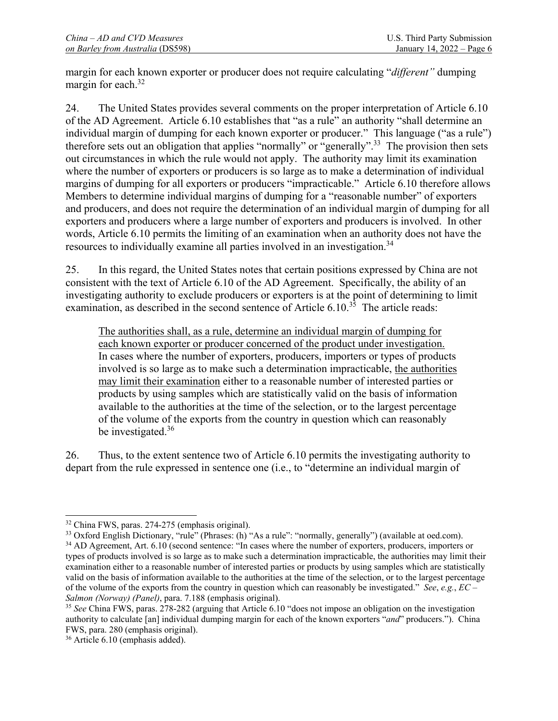margin for each known exporter or producer does not require calculating "*different"* dumping margin for each.<sup>32</sup>

24. The United States provides several comments on the proper interpretation of Article 6.10 of the AD Agreement. Article 6.10 establishes that "as a rule" an authority "shall determine an individual margin of dumping for each known exporter or producer." This language ("as a rule") therefore sets out an obligation that applies "normally" or "generally".<sup>33</sup> The provision then sets out circumstances in which the rule would not apply. The authority may limit its examination where the number of exporters or producers is so large as to make a determination of individual margins of dumping for all exporters or producers "impracticable." Article 6.10 therefore allows Members to determine individual margins of dumping for a "reasonable number" of exporters and producers, and does not require the determination of an individual margin of dumping for all exporters and producers where a large number of exporters and producers is involved. In other words, Article 6.10 permits the limiting of an examination when an authority does not have the resources to individually examine all parties involved in an investigation.<sup>34</sup>

25. In this regard, the United States notes that certain positions expressed by China are not consistent with the text of Article 6.10 of the AD Agreement. Specifically, the ability of an investigating authority to exclude producers or exporters is at the point of determining to limit examination, as described in the second sentence of Article  $6.10^{35}$  The article reads:

The authorities shall, as a rule, determine an individual margin of dumping for each known exporter or producer concerned of the product under investigation. In cases where the number of exporters, producers, importers or types of products involved is so large as to make such a determination impracticable, the authorities may limit their examination either to a reasonable number of interested parties or products by using samples which are statistically valid on the basis of information available to the authorities at the time of the selection, or to the largest percentage of the volume of the exports from the country in question which can reasonably be investigated.<sup>36</sup>

26. Thus, to the extent sentence two of Article 6.10 permits the investigating authority to depart from the rule expressed in sentence one (i.e., to "determine an individual margin of

<sup>32</sup> China FWS, paras. 274-275 (emphasis original).

<sup>&</sup>lt;sup>33</sup> Oxford English Dictionary, "rule" (Phrases: (h) "As a rule": "normally, generally") (available at oed.com).

<sup>&</sup>lt;sup>34</sup> AD Agreement, Art. 6.10 (second sentence: "In cases where the number of exporters, producers, importers or types of products involved is so large as to make such a determination impracticable, the authorities may limit their examination either to a reasonable number of interested parties or products by using samples which are statistically valid on the basis of information available to the authorities at the time of the selection, or to the largest percentage of the volume of the exports from the country in question which can reasonably be investigated." *See*, *e.g.*, *EC – Salmon (Norway) (Panel)*, para. 7.188 (emphasis original).<br><sup>35</sup> *See* China FWS, paras. 278-282 (arguing that Article 6.10 "does not impose an obligation on the investigation

authority to calculate [an] individual dumping margin for each of the known exporters "*and*" producers."). China FWS, para. 280 (emphasis original).

<sup>36</sup> Article 6.10 (emphasis added).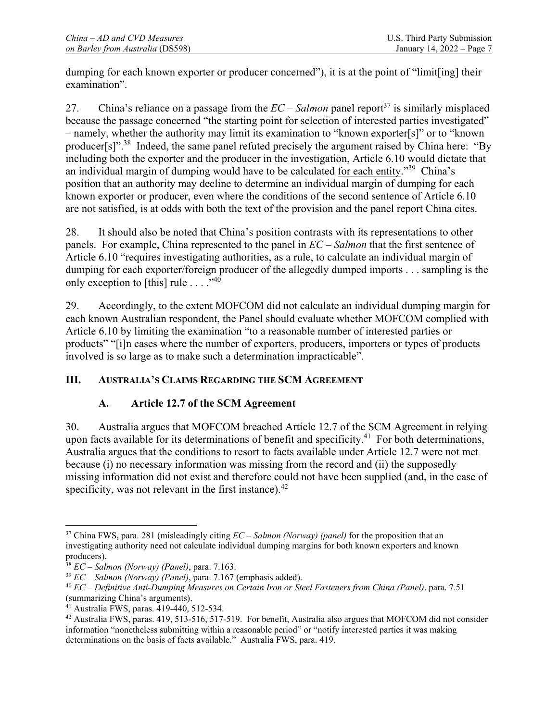dumping for each known exporter or producer concerned"), it is at the point of "limit[ing] their examination".

27. China's reliance on a passage from the  $EC - Salmon$  panel report<sup>37</sup> is similarly misplaced because the passage concerned "the starting point for selection of interested parties investigated" – namely, whether the authority may limit its examination to "known exporter[s]" or to "known producer[s]".<sup>38</sup> Indeed, the same panel refuted precisely the argument raised by China here: "By including both the exporter and the producer in the investigation, Article 6.10 would dictate that an individual margin of dumping would have to be calculated for each entity."39 China's position that an authority may decline to determine an individual margin of dumping for each known exporter or producer, even where the conditions of the second sentence of Article 6.10 are not satisfied, is at odds with both the text of the provision and the panel report China cites.

28. It should also be noted that China's position contrasts with its representations to other panels. For example, China represented to the panel in *EC – Salmon* that the first sentence of Article 6.10 "requires investigating authorities, as a rule, to calculate an individual margin of dumping for each exporter/foreign producer of the allegedly dumped imports . . . sampling is the only exception to [this] rule  $\dots$ ."<sup>40</sup>

29. Accordingly, to the extent MOFCOM did not calculate an individual dumping margin for each known Australian respondent, the Panel should evaluate whether MOFCOM complied with Article 6.10 by limiting the examination "to a reasonable number of interested parties or products" "[i]n cases where the number of exporters, producers, importers or types of products involved is so large as to make such a determination impracticable".

## **III. AUSTRALIA'S CLAIMS REGARDING THE SCM AGREEMENT**

## **A. Article 12.7 of the SCM Agreement**

30. Australia argues that MOFCOM breached Article 12.7 of the SCM Agreement in relying upon facts available for its determinations of benefit and specificity.<sup>41</sup> For both determinations, Australia argues that the conditions to resort to facts available under Article 12.7 were not met because (i) no necessary information was missing from the record and (ii) the supposedly missing information did not exist and therefore could not have been supplied (and, in the case of specificity, was not relevant in the first instance). $42$ 

 $\overline{a}$ 37 China FWS, para. 281 (misleadingly citing *EC – Salmon (Norway) (panel)* for the proposition that an investigating authority need not calculate individual dumping margins for both known exporters and known producers).<br><sup>38</sup> EC – Salmon (Norway) (Panel), para. 7.163.

 $^{39}$  EC – Salmon (Norway) (Panel), para. 7.167 (emphasis added).<br><sup>40</sup> EC – Definitive Anti-Dumping Measures on Certain Iron or Steel Fasteners from China (Panel), para. 7.51 (summarizing China's arguments).

<sup>41</sup> Australia FWS, paras. 419-440, 512-534.

<sup>42</sup> Australia FWS, paras. 419, 513-516, 517-519. For benefit, Australia also argues that MOFCOM did not consider information "nonetheless submitting within a reasonable period" or "notify interested parties it was making determinations on the basis of facts available." Australia FWS, para. 419.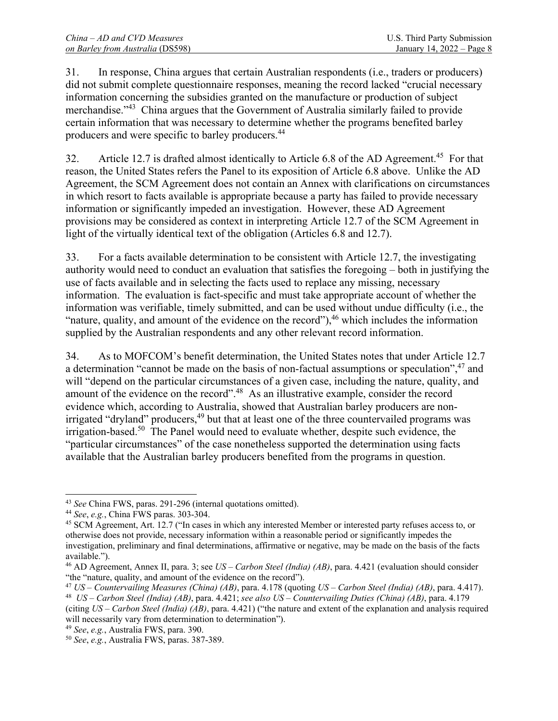31. In response, China argues that certain Australian respondents (i.e., traders or producers) did not submit complete questionnaire responses, meaning the record lacked "crucial necessary information concerning the subsidies granted on the manufacture or production of subject merchandise."<sup>43</sup> China argues that the Government of Australia similarly failed to provide certain information that was necessary to determine whether the programs benefited barley producers and were specific to barley producers.44

32. Article 12.7 is drafted almost identically to Article 6.8 of the AD Agreement.<sup>45</sup> For that reason, the United States refers the Panel to its exposition of Article 6.8 above. Unlike the AD Agreement, the SCM Agreement does not contain an Annex with clarifications on circumstances in which resort to facts available is appropriate because a party has failed to provide necessary information or significantly impeded an investigation. However, these AD Agreement provisions may be considered as context in interpreting Article 12.7 of the SCM Agreement in light of the virtually identical text of the obligation (Articles 6.8 and 12.7).

33. For a facts available determination to be consistent with Article 12.7, the investigating authority would need to conduct an evaluation that satisfies the foregoing – both in justifying the use of facts available and in selecting the facts used to replace any missing, necessary information. The evaluation is fact-specific and must take appropriate account of whether the information was verifiable, timely submitted, and can be used without undue difficulty (i.e., the "nature, quality, and amount of the evidence on the record"),  $46$  which includes the information supplied by the Australian respondents and any other relevant record information.

34. As to MOFCOM's benefit determination, the United States notes that under Article 12.7 a determination "cannot be made on the basis of non-factual assumptions or speculation",<sup>47</sup> and will "depend on the particular circumstances of a given case, including the nature, quality, and amount of the evidence on the record".48 As an illustrative example, consider the record evidence which, according to Australia, showed that Australian barley producers are nonirrigated "dryland" producers,<sup>49</sup> but that at least one of the three countervailed programs was irrigation-based.<sup>50</sup> The Panel would need to evaluate whether, despite such evidence, the "particular circumstances" of the case nonetheless supported the determination using facts available that the Australian barley producers benefited from the programs in question.

<sup>&</sup>lt;sup>43</sup> See China FWS, paras. 291-296 (internal quotations omitted).

<sup>&</sup>lt;sup>44</sup> See, e.g., China FWS paras. 303-304.<br><sup>45</sup> SCM Agreement, Art. 12.7 ("In cases in which any interested Member or interested party refuses access to, or otherwise does not provide, necessary information within a reasonable period or significantly impedes the investigation, preliminary and final determinations, affirmative or negative, may be made on the basis of the facts available.").

<sup>46</sup> AD Agreement, Annex II, para. 3; see *US – Carbon Steel (India) (AB)*, para. 4.421 (evaluation should consider "the "nature, quality, and amount of the evidence on the record").

<sup>&</sup>lt;sup>47</sup> US – Countervailing Measures (China) (AB), para. 4.178 (quoting US – Carbon Steel (India) (AB), para. 4.417).<br><sup>48</sup> US – Carbon Steel (India) (AB), para. 4.421; see also US – Countervailing Duties (China) (AB), para.

<sup>(</sup>citing *US – Carbon Steel (India) (AB)*, para. 4.421) ("the nature and extent of the explanation and analysis required will necessarily vary from determination to determination").<br><sup>49</sup> *See*, *e.g.*, Australia FWS, para. 390.<br><sup>50</sup> *See*, *e.g.*, Australia FWS, paras. 387-389.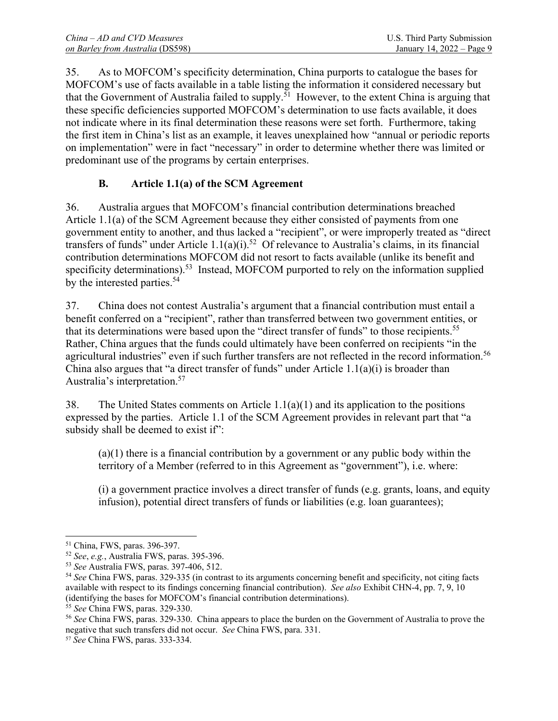| $China - AD$ and $CVD$ Measures  | U.S. Third Party Submission |
|----------------------------------|-----------------------------|
| on Barley from Australia (DS598) | January 14, 2022 – Page 9   |

35. As to MOFCOM's specificity determination, China purports to catalogue the bases for MOFCOM's use of facts available in a table listing the information it considered necessary but that the Government of Australia failed to supply.<sup>51</sup> However, to the extent China is arguing that these specific deficiencies supported MOFCOM's determination to use facts available, it does not indicate where in its final determination these reasons were set forth. Furthermore, taking the first item in China's list as an example, it leaves unexplained how "annual or periodic reports on implementation" were in fact "necessary" in order to determine whether there was limited or predominant use of the programs by certain enterprises.

### **B. Article 1.1(a) of the SCM Agreement**

36. Australia argues that MOFCOM's financial contribution determinations breached Article 1.1(a) of the SCM Agreement because they either consisted of payments from one government entity to another, and thus lacked a "recipient", or were improperly treated as "direct transfers of funds" under Article 1.1(a)(i).<sup>52</sup> Of relevance to Australia's claims, in its financial contribution determinations MOFCOM did not resort to facts available (unlike its benefit and specificity determinations).<sup>53</sup> Instead, MOFCOM purported to rely on the information supplied by the interested parties.<sup>54</sup>

37. China does not contest Australia's argument that a financial contribution must entail a benefit conferred on a "recipient", rather than transferred between two government entities, or that its determinations were based upon the "direct transfer of funds" to those recipients.<sup>55</sup> Rather, China argues that the funds could ultimately have been conferred on recipients "in the agricultural industries" even if such further transfers are not reflected in the record information.<sup>56</sup> China also argues that "a direct transfer of funds" under Article  $1.1(a)(i)$  is broader than Australia's interpretation.57

38. The United States comments on Article  $1.1(a)(1)$  and its application to the positions expressed by the parties. Article 1.1 of the SCM Agreement provides in relevant part that "a subsidy shall be deemed to exist if":

(a)(1) there is a financial contribution by a government or any public body within the territory of a Member (referred to in this Agreement as "government"), i.e. where:

(i) a government practice involves a direct transfer of funds (e.g. grants, loans, and equity infusion), potential direct transfers of funds or liabilities (e.g. loan guarantees);

<sup>&</sup>lt;sup>51</sup> China, FWS, paras. 396-397.<br><sup>52</sup> *See, e.g.*, Australia FWS, paras. 395-396.

 $53$  See Australia FWS, paras. 397-406, 512.<br> $54$  See China FWS, paras. 329-335 (in contrast to its arguments concerning benefit and specificity, not citing facts available with respect to its findings concerning financial contribution). *See also* Exhibit CHN-4, pp. 7, 9, 10 (identifying the bases for MOFCOM's financial contribution determinations).

<sup>&</sup>lt;sup>55</sup> *See* China FWS, paras. 329-330.<br><sup>56</sup> *See* China FWS, paras. 329-330. China appears to place the burden on the Government of Australia to prove the negative that such transfers did not occur. *See* China FWS, para. 331. 57 *See* China FWS, paras. 333-334.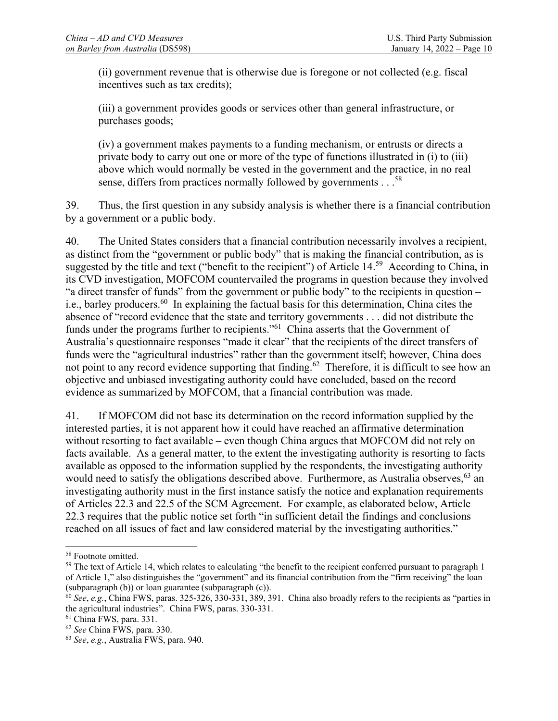(ii) government revenue that is otherwise due is foregone or not collected (e.g. fiscal incentives such as tax credits);

(iii) a government provides goods or services other than general infrastructure, or purchases goods;

(iv) a government makes payments to a funding mechanism, or entrusts or directs a private body to carry out one or more of the type of functions illustrated in (i) to (iii) above which would normally be vested in the government and the practice, in no real sense, differs from practices normally followed by governments . . .<sup>58</sup>

39. Thus, the first question in any subsidy analysis is whether there is a financial contribution by a government or a public body.

40. The United States considers that a financial contribution necessarily involves a recipient, as distinct from the "government or public body" that is making the financial contribution, as is suggested by the title and text ("benefit to the recipient") of Article 14.<sup>59</sup> According to China, in its CVD investigation, MOFCOM countervailed the programs in question because they involved "a direct transfer of funds" from the government or public body" to the recipients in question – i.e., barley producers.<sup>60</sup> In explaining the factual basis for this determination, China cites the absence of "record evidence that the state and territory governments . . . did not distribute the funds under the programs further to recipients."61 China asserts that the Government of Australia's questionnaire responses "made it clear" that the recipients of the direct transfers of funds were the "agricultural industries" rather than the government itself; however, China does not point to any record evidence supporting that finding.<sup>62</sup> Therefore, it is difficult to see how an objective and unbiased investigating authority could have concluded, based on the record evidence as summarized by MOFCOM, that a financial contribution was made.

41. If MOFCOM did not base its determination on the record information supplied by the interested parties, it is not apparent how it could have reached an affirmative determination without resorting to fact available – even though China argues that MOFCOM did not rely on facts available. As a general matter, to the extent the investigating authority is resorting to facts available as opposed to the information supplied by the respondents, the investigating authority would need to satisfy the obligations described above. Furthermore, as Australia observes, <sup>63</sup> an investigating authority must in the first instance satisfy the notice and explanation requirements of Articles 22.3 and 22.5 of the SCM Agreement. For example, as elaborated below, Article 22.3 requires that the public notice set forth "in sufficient detail the findings and conclusions reached on all issues of fact and law considered material by the investigating authorities."

<sup>58</sup> Footnote omitted.

<sup>&</sup>lt;sup>59</sup> The text of Article 14, which relates to calculating "the benefit to the recipient conferred pursuant to paragraph 1 of Article 1," also distinguishes the "government" and its financial contribution from the "firm receiving" the loan (subparagraph (b)) or loan guarantee (subparagraph (c)).

<sup>60</sup> *See*, *e.g.*, China FWS, paras. 325-326, 330-331, 389, 391. China also broadly refers to the recipients as "parties in the agricultural industries". China FWS, paras. 330-331.<br><sup>61</sup> China FWS, para. 331.<br><sup>62</sup> See China FWS, para. 330.

<sup>62</sup> *See* China FWS, para. 330. 63 *See*, *e.g.*, Australia FWS, para. 940.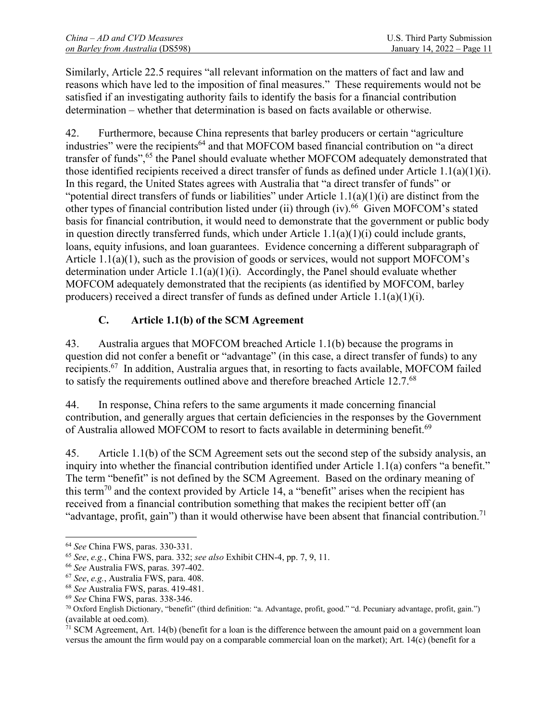Similarly, Article 22.5 requires "all relevant information on the matters of fact and law and reasons which have led to the imposition of final measures." These requirements would not be satisfied if an investigating authority fails to identify the basis for a financial contribution determination – whether that determination is based on facts available or otherwise.

42. Furthermore, because China represents that barley producers or certain "agriculture industries" were the recipients<sup>64</sup> and that MOFCOM based financial contribution on "a direct transfer of funds",<sup>65</sup> the Panel should evaluate whether MOFCOM adequately demonstrated that those identified recipients received a direct transfer of funds as defined under Article 1.1(a)(1)(i). In this regard, the United States agrees with Australia that "a direct transfer of funds" or "potential direct transfers of funds or liabilities" under Article 1.1(a)(1)(i) are distinct from the other types of financial contribution listed under (ii) through (iv).<sup>66</sup> Given MOFCOM's stated basis for financial contribution, it would need to demonstrate that the government or public body in question directly transferred funds, which under Article  $1.1(a)(1)(i)$  could include grants, loans, equity infusions, and loan guarantees. Evidence concerning a different subparagraph of Article 1.1(a)(1), such as the provision of goods or services, would not support MOFCOM's determination under Article  $1.1(a)(1)(i)$ . Accordingly, the Panel should evaluate whether MOFCOM adequately demonstrated that the recipients (as identified by MOFCOM, barley producers) received a direct transfer of funds as defined under Article 1.1(a)(1)(i).

## **C. Article 1.1(b) of the SCM Agreement**

43. Australia argues that MOFCOM breached Article 1.1(b) because the programs in question did not confer a benefit or "advantage" (in this case, a direct transfer of funds) to any recipients.67 In addition, Australia argues that, in resorting to facts available, MOFCOM failed to satisfy the requirements outlined above and therefore breached Article 12.7.<sup>68</sup>

44. In response, China refers to the same arguments it made concerning financial contribution, and generally argues that certain deficiencies in the responses by the Government of Australia allowed MOFCOM to resort to facts available in determining benefit.<sup>69</sup>

45. Article 1.1(b) of the SCM Agreement sets out the second step of the subsidy analysis, an inquiry into whether the financial contribution identified under Article 1.1(a) confers "a benefit." The term "benefit" is not defined by the SCM Agreement. Based on the ordinary meaning of this term<sup>70</sup> and the context provided by Article 14, a "benefit" arises when the recipient has received from a financial contribution something that makes the recipient better off (an "advantage, profit, gain") than it would otherwise have been absent that financial contribution.<sup>71</sup>

 $\overline{\phantom{a}}$ 

<sup>&</sup>lt;sup>64</sup> See China FWS, paras. 330-331.<br>
<sup>65</sup> See, e.g., China FWS, para. 332; *see also* Exhibit CHN-4, pp. 7, 9, 11.<br>
<sup>66</sup> See Australia FWS, paras. 397-402.<br>
<sup>67</sup> See, e.g., Australia FWS, paras. 419-481.<br>
<sup>68</sup> See Austral

 $\hat{a}$  SCM Agreement, Art. 14(b) (benefit for a loan is the difference between the amount paid on a government loan versus the amount the firm would pay on a comparable commercial loan on the market); Art. 14(c) (benefit for a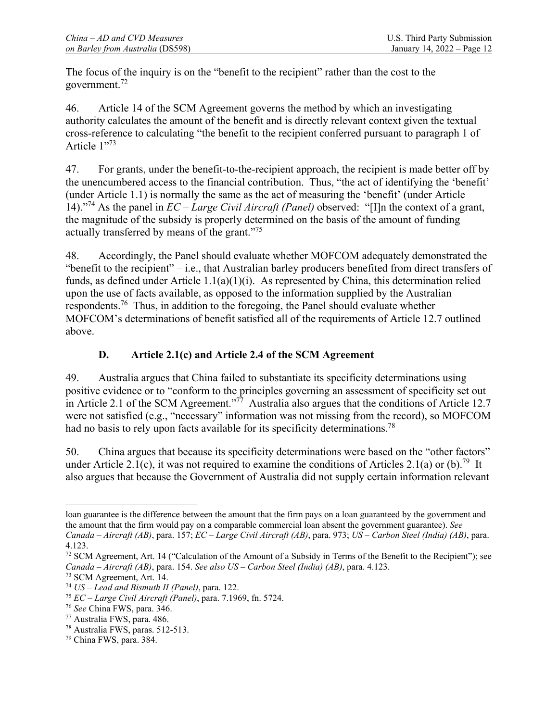The focus of the inquiry is on the "benefit to the recipient" rather than the cost to the government.72

46. Article 14 of the SCM Agreement governs the method by which an investigating authority calculates the amount of the benefit and is directly relevant context given the textual cross-reference to calculating "the benefit to the recipient conferred pursuant to paragraph 1 of Article 1"73

47. For grants, under the benefit-to-the-recipient approach, the recipient is made better off by the unencumbered access to the financial contribution. Thus, "the act of identifying the 'benefit' (under Article 1.1) is normally the same as the act of measuring the 'benefit' (under Article 14)."74 As the panel in *EC – Large Civil Aircraft (Panel)* observed: "[I]n the context of a grant, the magnitude of the subsidy is properly determined on the basis of the amount of funding actually transferred by means of the grant."75

48. Accordingly, the Panel should evaluate whether MOFCOM adequately demonstrated the "benefit to the recipient" – i.e., that Australian barley producers benefited from direct transfers of funds, as defined under Article 1.1(a)(1)(i). As represented by China, this determination relied upon the use of facts available, as opposed to the information supplied by the Australian respondents.76 Thus, in addition to the foregoing, the Panel should evaluate whether MOFCOM's determinations of benefit satisfied all of the requirements of Article 12.7 outlined above.

## **D. Article 2.1(c) and Article 2.4 of the SCM Agreement**

49. Australia argues that China failed to substantiate its specificity determinations using positive evidence or to "conform to the principles governing an assessment of specificity set out in Article 2.1 of the SCM Agreement."<sup>77</sup> Australia also argues that the conditions of Article 12.7 were not satisfied (e.g., "necessary" information was not missing from the record), so MOFCOM had no basis to rely upon facts available for its specificity determinations.<sup>78</sup>

50. China argues that because its specificity determinations were based on the "other factors" under Article 2.1(c), it was not required to examine the conditions of Articles 2.1(a) or (b).<sup>79</sup> It also argues that because the Government of Australia did not supply certain information relevant

 $\overline{\phantom{a}}$ 

loan guarantee is the difference between the amount that the firm pays on a loan guaranteed by the government and the amount that the firm would pay on a comparable commercial loan absent the government guarantee). *See Canada – Aircraft (AB)*, para. 157; *EC – Large Civil Aircraft (AB)*, para. 973; *US – Carbon Steel (India) (AB)*, para. 4.123.

<sup>&</sup>lt;sup>72</sup> SCM Agreement, Art. 14 ("Calculation of the Amount of a Subsidy in Terms of the Benefit to the Recipient"); see *Canada – Aircraft (AB)*, para. 154. *See also US – Carbon Steel (India) (AB)*, para. 4.123. 73 SCM Agreement, Art. 14.

<sup>74</sup> *US – Lead and Bismuth II (Panel)*, para. 122. 75 *EC – Large Civil Aircraft (Panel)*, para. 7.1969, fn. 5724. 76 *See* China FWS, para. 346. 77 Australia FWS, para. 486.

<sup>78</sup> Australia FWS, paras. 512-513.

 $79$  China FWS, para. 384.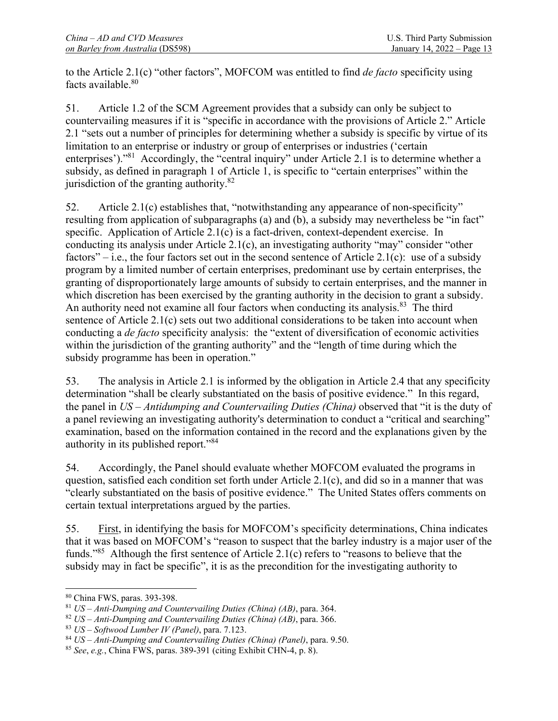to the Article 2.1(c) "other factors", MOFCOM was entitled to find *de facto* specificity using facts available.<sup>80</sup>

51. Article 1.2 of the SCM Agreement provides that a subsidy can only be subject to countervailing measures if it is "specific in accordance with the provisions of Article 2." Article 2.1 "sets out a number of principles for determining whether a subsidy is specific by virtue of its limitation to an enterprise or industry or group of enterprises or industries ('certain enterprises')."<sup>81</sup> Accordingly, the "central inquiry" under Article 2.1 is to determine whether a subsidy, as defined in paragraph 1 of Article 1, is specific to "certain enterprises" within the jurisdiction of the granting authority.<sup>82</sup>

52. Article 2.1(c) establishes that, "notwithstanding any appearance of non-specificity" resulting from application of subparagraphs (a) and (b), a subsidy may nevertheless be "in fact" specific. Application of Article 2.1(c) is a fact-driven, context-dependent exercise. In conducting its analysis under Article 2.1(c), an investigating authority "may" consider "other factors" $-$  i.e., the four factors set out in the second sentence of Article 2.1(c): use of a subsidy program by a limited number of certain enterprises, predominant use by certain enterprises, the granting of disproportionately large amounts of subsidy to certain enterprises, and the manner in which discretion has been exercised by the granting authority in the decision to grant a subsidy. An authority need not examine all four factors when conducting its analysis.<sup>83</sup> The third sentence of Article 2.1(c) sets out two additional considerations to be taken into account when conducting a *de facto* specificity analysis: the "extent of diversification of economic activities within the jurisdiction of the granting authority" and the "length of time during which the subsidy programme has been in operation."

53. The analysis in Article 2.1 is informed by the obligation in Article 2.4 that any specificity determination "shall be clearly substantiated on the basis of positive evidence." In this regard, the panel in *US – Antidumping and Countervailing Duties (China)* observed that "it is the duty of a panel reviewing an investigating authority's determination to conduct a "critical and searching" examination, based on the information contained in the record and the explanations given by the authority in its published report."<sup>84</sup>

54. Accordingly, the Panel should evaluate whether MOFCOM evaluated the programs in question, satisfied each condition set forth under Article 2.1(c), and did so in a manner that was "clearly substantiated on the basis of positive evidence." The United States offers comments on certain textual interpretations argued by the parties.

55. First, in identifying the basis for MOFCOM's specificity determinations, China indicates that it was based on MOFCOM's "reason to suspect that the barley industry is a major user of the funds."85 Although the first sentence of Article 2.1(c) refers to "reasons to believe that the subsidy may in fact be specific", it is as the precondition for the investigating authority to

 $\overline{\phantom{a}}$ 

<sup>&</sup>lt;sup>80</sup> China FWS, paras. 393-398.<br><sup>81</sup> *US – Anti-Dumping and Countervailing Duties (China) (AB)*, para. 364.

<sup>&</sup>lt;sup>82</sup> US – Anti-Dumping and Countervailing Duties (China) (AB), para. 366.<br><sup>83</sup> US – Softwood Lumber IV (Panel), para. 7.123.<br><sup>84</sup> US – Anti-Dumping and Countervailing Duties (China) (Panel), para. 9.50.<br><sup>85</sup> See, e.g., Ch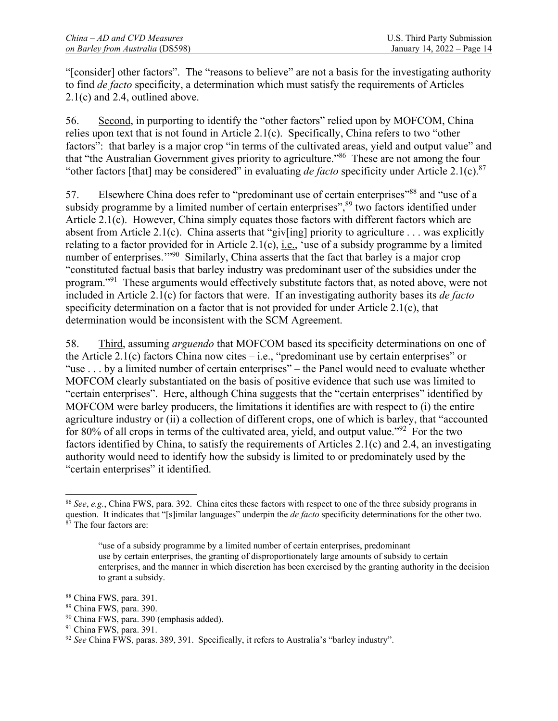"[consider] other factors". The "reasons to believe" are not a basis for the investigating authority to find *de facto* specificity, a determination which must satisfy the requirements of Articles 2.1(c) and 2.4, outlined above.

56. Second, in purporting to identify the "other factors" relied upon by MOFCOM, China relies upon text that is not found in Article 2.1(c). Specifically, China refers to two "other factors": that barley is a major crop "in terms of the cultivated areas, yield and output value" and that "the Australian Government gives priority to agriculture."86 These are not among the four "other factors [that] may be considered" in evaluating *de facto* specificity under Article 2.1(c).<sup>87</sup>

57. Elsewhere China does refer to "predominant use of certain enterprises"<sup>88</sup> and "use of a subsidy programme by a limited number of certain enterprises",<sup>89</sup> two factors identified under Article 2.1(c). However, China simply equates those factors with different factors which are absent from Article 2.1(c). China asserts that "giv[ing] priority to agriculture ... was explicitly relating to a factor provided for in Article 2.1(c), *i.e.*, 'use of a subsidy programme by a limited number of enterprises."<sup>90</sup> Similarly, China asserts that the fact that barley is a major crop "constituted factual basis that barley industry was predominant user of the subsidies under the program."91 These arguments would effectively substitute factors that, as noted above, were not included in Article 2.1(c) for factors that were. If an investigating authority bases its *de facto* specificity determination on a factor that is not provided for under Article 2.1(c), that determination would be inconsistent with the SCM Agreement.

58. Third, assuming *arguendo* that MOFCOM based its specificity determinations on one of the Article 2.1(c) factors China now cites  $-$  i.e., "predominant use by certain enterprises" or "use . . . by a limited number of certain enterprises" – the Panel would need to evaluate whether MOFCOM clearly substantiated on the basis of positive evidence that such use was limited to "certain enterprises". Here, although China suggests that the "certain enterprises" identified by MOFCOM were barley producers, the limitations it identifies are with respect to (i) the entire agriculture industry or (ii) a collection of different crops, one of which is barley, that "accounted for 80% of all crops in terms of the cultivated area, yield, and output value."<sup>92</sup> For the two factors identified by China, to satisfy the requirements of Articles 2.1(c) and 2.4, an investigating authority would need to identify how the subsidy is limited to or predominately used by the "certain enterprises" it identified.

- 90 China FWS, para. 390 (emphasis added).
- <sup>91</sup> China FWS, para. 391.

 $\overline{\phantom{a}}$ <sup>86</sup> *See*, *e.g.*, China FWS, para. 392. China cites these factors with respect to one of the three subsidy programs in question. It indicates that "[s]imilar languages" underpin the *de facto* specificity determinations for the other two. <sup>87</sup> The four factors are:

<sup>&</sup>quot;use of a subsidy programme by a limited number of certain enterprises, predominant use by certain enterprises, the granting of disproportionately large amounts of subsidy to certain enterprises, and the manner in which discretion has been exercised by the granting authority in the decision to grant a subsidy.

<sup>88</sup> China FWS, para. 391.

<sup>89</sup> China FWS, para. 390.

<sup>92</sup> *See* China FWS, paras. 389, 391. Specifically, it refers to Australia's "barley industry".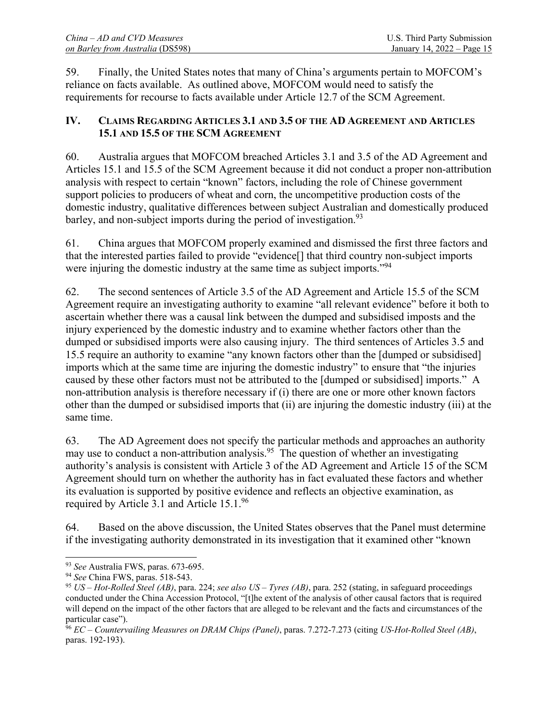59. Finally, the United States notes that many of China's arguments pertain to MOFCOM's reliance on facts available. As outlined above, MOFCOM would need to satisfy the requirements for recourse to facts available under Article 12.7 of the SCM Agreement.

## **IV. CLAIMS REGARDING ARTICLES 3.1 AND 3.5 OF THE AD AGREEMENT AND ARTICLES 15.1 AND 15.5 OF THE SCM AGREEMENT**

60. Australia argues that MOFCOM breached Articles 3.1 and 3.5 of the AD Agreement and Articles 15.1 and 15.5 of the SCM Agreement because it did not conduct a proper non-attribution analysis with respect to certain "known" factors, including the role of Chinese government support policies to producers of wheat and corn, the uncompetitive production costs of the domestic industry, qualitative differences between subject Australian and domestically produced barley, and non-subject imports during the period of investigation.<sup>93</sup>

61. China argues that MOFCOM properly examined and dismissed the first three factors and that the interested parties failed to provide "evidence[] that third country non-subject imports were injuring the domestic industry at the same time as subject imports."<sup>94</sup>

62. The second sentences of Article 3.5 of the AD Agreement and Article 15.5 of the SCM Agreement require an investigating authority to examine "all relevant evidence" before it both to ascertain whether there was a causal link between the dumped and subsidised imposts and the injury experienced by the domestic industry and to examine whether factors other than the dumped or subsidised imports were also causing injury. The third sentences of Articles 3.5 and 15.5 require an authority to examine "any known factors other than the [dumped or subsidised] imports which at the same time are injuring the domestic industry" to ensure that "the injuries caused by these other factors must not be attributed to the [dumped or subsidised] imports." A non-attribution analysis is therefore necessary if (i) there are one or more other known factors other than the dumped or subsidised imports that (ii) are injuring the domestic industry (iii) at the same time.

63. The AD Agreement does not specify the particular methods and approaches an authority may use to conduct a non-attribution analysis.<sup>95</sup> The question of whether an investigating authority's analysis is consistent with Article 3 of the AD Agreement and Article 15 of the SCM Agreement should turn on whether the authority has in fact evaluated these factors and whether its evaluation is supported by positive evidence and reflects an objective examination, as required by Article 3.1 and Article 15.1.96

64. Based on the above discussion, the United States observes that the Panel must determine if the investigating authority demonstrated in its investigation that it examined other "known

 $\overline{\phantom{a}}$ 

<sup>93</sup> *See* Australia FWS, paras. 673-695. 94 *See* China FWS, paras. 518-543. 95 *US – Hot-Rolled Steel (AB)*, para. 224; *see also US – Tyres (AB)*, para. 252 (stating, in safeguard proceedings conducted under the China Accession Protocol, "[t]he extent of the analysis of other causal factors that is required will depend on the impact of the other factors that are alleged to be relevant and the facts and circumstances of the particular case").

<sup>96</sup> *EC – Countervailing Measures on DRAM Chips (Panel)*, paras. 7.272-7.273 (citing *US-Hot-Rolled Steel (AB)*, paras. 192-193).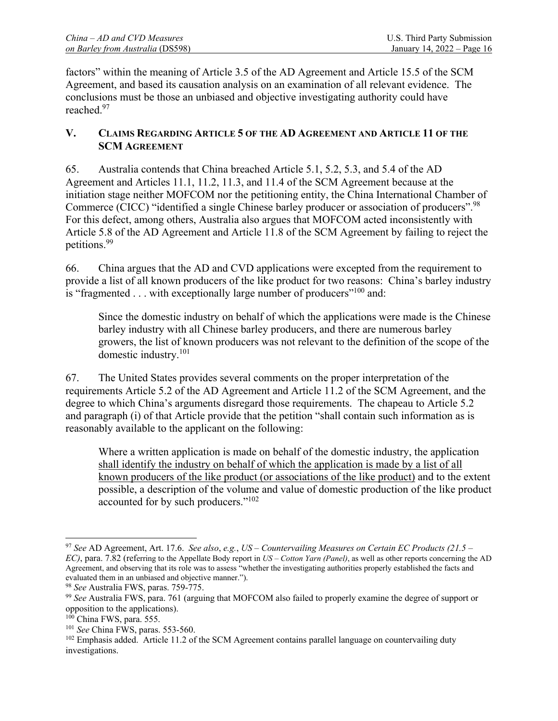factors" within the meaning of Article 3.5 of the AD Agreement and Article 15.5 of the SCM Agreement, and based its causation analysis on an examination of all relevant evidence. The conclusions must be those an unbiased and objective investigating authority could have reached.<sup>97</sup>

## **V. CLAIMS REGARDING ARTICLE 5 OF THE AD AGREEMENT AND ARTICLE 11 OF THE SCM AGREEMENT**

65. Australia contends that China breached Article 5.1, 5.2, 5.3, and 5.4 of the AD Agreement and Articles 11.1, 11.2, 11.3, and 11.4 of the SCM Agreement because at the initiation stage neither MOFCOM nor the petitioning entity, the China International Chamber of Commerce (CICC) "identified a single Chinese barley producer or association of producers".98 For this defect, among others, Australia also argues that MOFCOM acted inconsistently with Article 5.8 of the AD Agreement and Article 11.8 of the SCM Agreement by failing to reject the petitions.99

66. China argues that the AD and CVD applications were excepted from the requirement to provide a list of all known producers of the like product for two reasons: China's barley industry is "fragmented . . . with exceptionally large number of producers"<sup>100</sup> and:

Since the domestic industry on behalf of which the applications were made is the Chinese barley industry with all Chinese barley producers, and there are numerous barley growers, the list of known producers was not relevant to the definition of the scope of the domestic industry.101

67. The United States provides several comments on the proper interpretation of the requirements Article 5.2 of the AD Agreement and Article 11.2 of the SCM Agreement, and the degree to which China's arguments disregard those requirements. The chapeau to Article 5.2 and paragraph (i) of that Article provide that the petition "shall contain such information as is reasonably available to the applicant on the following:

Where a written application is made on behalf of the domestic industry, the application shall identify the industry on behalf of which the application is made by a list of all known producers of the like product (or associations of the like product) and to the extent possible, a description of the volume and value of domestic production of the like product accounted for by such producers."<sup>102</sup>

 $\overline{\phantom{a}}$ 

<sup>97</sup> *See* AD Agreement, Art. 17.6. *See also*, *e.g.*, *US – Countervailing Measures on Certain EC Products (21.5 – EC)*, para. 7.82 (referring to the Appellate Body report in *US – Cotton Yarn (Panel)*, as well as other reports concerning the AD Agreement, and observing that its role was to assess "whether the investigating authorities properly established the facts and evaluated them in an unbiased and objective manner.").

<sup>98</sup> *See* Australia FWS, paras. 759-775. 99 *See* Australia FWS, para. 761 (arguing that MOFCOM also failed to properly examine the degree of support or opposition to the applications).<br><sup>100</sup> China FWS, para. 555.

<sup>&</sup>lt;sup>101</sup> See China FWS, paras. 553-560.<br><sup>102</sup> Emphasis added. Article 11.2 of the SCM Agreement contains parallel language on countervailing duty investigations.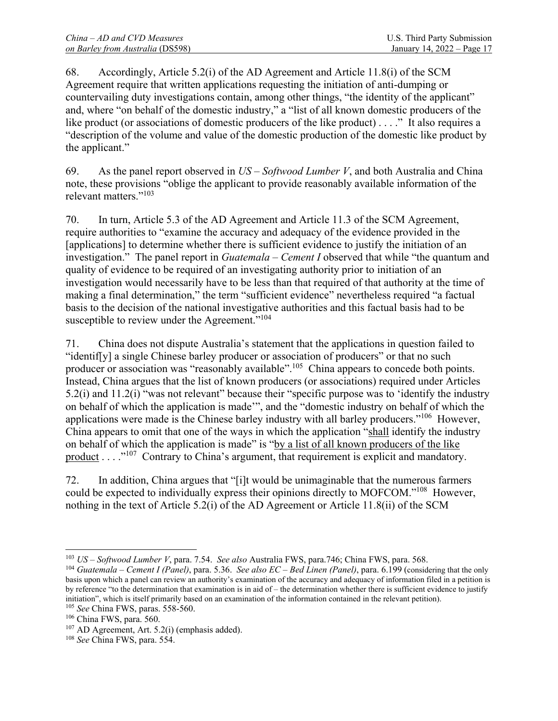68. Accordingly, Article 5.2(i) of the AD Agreement and Article 11.8(i) of the SCM Agreement require that written applications requesting the initiation of anti-dumping or countervailing duty investigations contain, among other things, "the identity of the applicant" and, where "on behalf of the domestic industry," a "list of all known domestic producers of the like product (or associations of domestic producers of the like product) . . . ." It also requires a "description of the volume and value of the domestic production of the domestic like product by the applicant."

69. As the panel report observed in *US – Softwood Lumber V*, and both Australia and China note, these provisions "oblige the applicant to provide reasonably available information of the relevant matters."103

70. In turn, Article 5.3 of the AD Agreement and Article 11.3 of the SCM Agreement, require authorities to "examine the accuracy and adequacy of the evidence provided in the [applications] to determine whether there is sufficient evidence to justify the initiation of an investigation." The panel report in *Guatemala – Cement I* observed that while "the quantum and quality of evidence to be required of an investigating authority prior to initiation of an investigation would necessarily have to be less than that required of that authority at the time of making a final determination," the term "sufficient evidence" nevertheless required "a factual basis to the decision of the national investigative authorities and this factual basis had to be susceptible to review under the Agreement."<sup>104</sup>

71. China does not dispute Australia's statement that the applications in question failed to "identif[y] a single Chinese barley producer or association of producers" or that no such producer or association was "reasonably available".105 China appears to concede both points. Instead, China argues that the list of known producers (or associations) required under Articles 5.2(i) and 11.2(i) "was not relevant" because their "specific purpose was to 'identify the industry on behalf of which the application is made'", and the "domestic industry on behalf of which the applications were made is the Chinese barley industry with all barley producers."<sup>106</sup> However, China appears to omit that one of the ways in which the application "shall identify the industry on behalf of which the application is made" is "by a list of all known producers of the like product  $\dots$  <sup>107</sup> Contrary to China's argument, that requirement is explicit and mandatory.

72. In addition, China argues that "[i]t would be unimaginable that the numerous farmers could be expected to individually express their opinions directly to MOFCOM."108 However, nothing in the text of Article 5.2(i) of the AD Agreement or Article 11.8(ii) of the SCM

 $\overline{\phantom{a}}$ 

<sup>&</sup>lt;sup>103</sup> US – Softwood Lumber V, para. 7.54. See also Australia FWS, para.746; China FWS, para. 568.<br><sup>104</sup> Guatemala – Cement I (Panel), para. 5.36. See also EC – Bed Linen (Panel), para. 6.199 (considering that the only

basis upon which a panel can review an authority's examination of the accuracy and adequacy of information filed in a petition is by reference "to the determination that examination is in aid of – the determination whether there is sufficient evidence to justify initiation", which is itself primarily based on an examination of the information contained in the relevant petition).

<sup>&</sup>lt;sup>105</sup> *See* China FWS, paras. 558-560.<br><sup>106</sup> China FWS, para. 560.<br><sup>107</sup> AD Agreement, Art. 5.2(i) (emphasis added).<br><sup>108</sup> *See* China FWS, para. 554.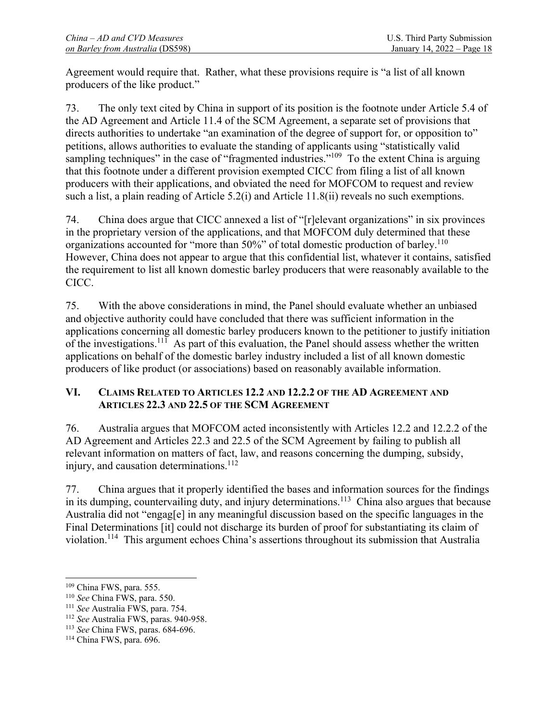Agreement would require that. Rather, what these provisions require is "a list of all known producers of the like product."

73. The only text cited by China in support of its position is the footnote under Article 5.4 of the AD Agreement and Article 11.4 of the SCM Agreement, a separate set of provisions that directs authorities to undertake "an examination of the degree of support for, or opposition to" petitions, allows authorities to evaluate the standing of applicants using "statistically valid sampling techniques" in the case of "fragmented industries."<sup>109</sup> To the extent China is arguing that this footnote under a different provision exempted CICC from filing a list of all known producers with their applications, and obviated the need for MOFCOM to request and review such a list, a plain reading of Article 5.2(i) and Article 11.8(ii) reveals no such exemptions.

74. China does argue that CICC annexed a list of "[r]elevant organizations" in six provinces in the proprietary version of the applications, and that MOFCOM duly determined that these organizations accounted for "more than 50%" of total domestic production of barley.<sup>110</sup> However, China does not appear to argue that this confidential list, whatever it contains, satisfied the requirement to list all known domestic barley producers that were reasonably available to the CICC.

75. With the above considerations in mind, the Panel should evaluate whether an unbiased and objective authority could have concluded that there was sufficient information in the applications concerning all domestic barley producers known to the petitioner to justify initiation of the investigations.<sup>111</sup> As part of this evaluation, the Panel should assess whether the written applications on behalf of the domestic barley industry included a list of all known domestic producers of like product (or associations) based on reasonably available information.

## **VI. CLAIMS RELATED TO ARTICLES 12.2 AND 12.2.2 OF THE AD AGREEMENT AND ARTICLES 22.3 AND 22.5 OF THE SCM AGREEMENT**

76. Australia argues that MOFCOM acted inconsistently with Articles 12.2 and 12.2.2 of the AD Agreement and Articles 22.3 and 22.5 of the SCM Agreement by failing to publish all relevant information on matters of fact, law, and reasons concerning the dumping, subsidy, injury, and causation determinations. $112$ 

77. China argues that it properly identified the bases and information sources for the findings in its dumping, countervailing duty, and injury determinations.<sup>113</sup> China also argues that because Australia did not "engag[e] in any meaningful discussion based on the specific languages in the Final Determinations [it] could not discharge its burden of proof for substantiating its claim of violation.114 This argument echoes China's assertions throughout its submission that Australia

<sup>&</sup>lt;sup>109</sup> China FWS, para. 555.

<sup>&</sup>lt;sup>110</sup> *See* China FWS, para. 550.<br><sup>111</sup> *See* Australia FWS, para. 754.<br><sup>112</sup> *See* Australia FWS, paras. 940-958.<br><sup>113</sup> *See* China FWS, para. 696.<br><sup>114</sup> China FWS, para. 696.